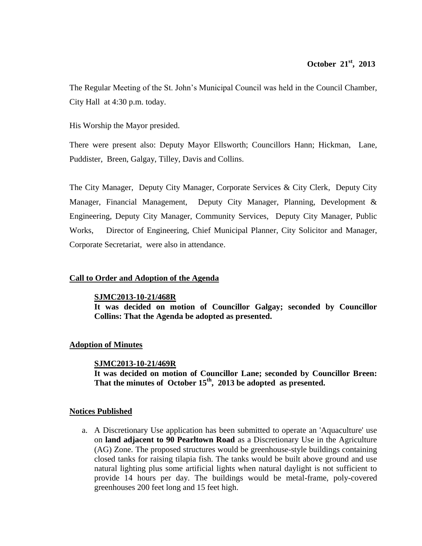The Regular Meeting of the St. John's Municipal Council was held in the Council Chamber, City Hall at 4:30 p.m. today.

His Worship the Mayor presided.

There were present also: Deputy Mayor Ellsworth; Councillors Hann; Hickman, Lane, Puddister, Breen, Galgay, Tilley, Davis and Collins.

The City Manager, Deputy City Manager, Corporate Services & City Clerk, Deputy City Manager, Financial Management, Deputy City Manager, Planning, Development & Engineering, Deputy City Manager, Community Services, Deputy City Manager, Public Works, Director of Engineering, Chief Municipal Planner, City Solicitor and Manager, Corporate Secretariat, were also in attendance.

## **Call to Order and Adoption of the Agenda**

## **SJMC2013-10-21/468R**

**It was decided on motion of Councillor Galgay; seconded by Councillor Collins: That the Agenda be adopted as presented.**

## **Adoption of Minutes**

## **SJMC2013-10-21/469R**

**It was decided on motion of Councillor Lane; seconded by Councillor Breen: That the minutes of October 15th , 2013 be adopted as presented.**

## **Notices Published**

a. A Discretionary Use application has been submitted to operate an 'Aquaculture' use on **land adjacent to 90 Pearltown Road** as a Discretionary Use in the Agriculture (AG) Zone. The proposed structures would be greenhouse-style buildings containing closed tanks for raising tilapia fish. The tanks would be built above ground and use natural lighting plus some artificial lights when natural daylight is not sufficient to provide 14 hours per day. The buildings would be metal-frame, poly-covered greenhouses 200 feet long and 15 feet high.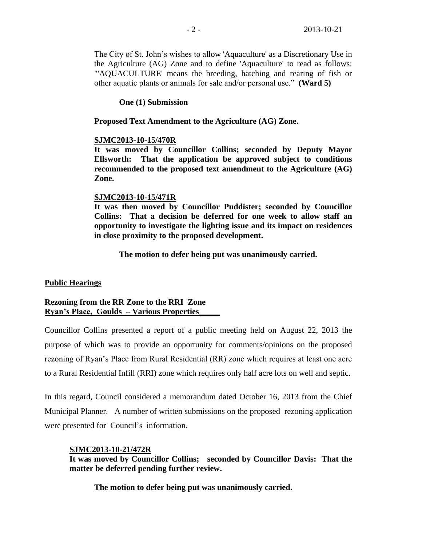The City of St. John's wishes to allow 'Aquaculture' as a Discretionary Use in the Agriculture (AG) Zone and to define 'Aquaculture' to read as follows: "'AQUACULTURE' means the breeding, hatching and rearing of fish or other aquatic plants or animals for sale and/or personal use." **(Ward 5)**

**One (1) Submission**

## **Proposed Text Amendment to the Agriculture (AG) Zone.**

## **SJMC2013-10-15/470R**

**It was moved by Councillor Collins; seconded by Deputy Mayor Ellsworth: That the application be approved subject to conditions recommended to the proposed text amendment to the Agriculture (AG) Zone.** 

## **SJMC2013-10-15/471R**

**It was then moved by Councillor Puddister; seconded by Councillor Collins: That a decision be deferred for one week to allow staff an opportunity to investigate the lighting issue and its impact on residences in close proximity to the proposed development.**

**The motion to defer being put was unanimously carried.**

## **Public Hearings**

## **Rezoning from the RR Zone to the RRI Zone Ryan's Place, Goulds – Various Properties\_\_\_\_\_**

Councillor Collins presented a report of a public meeting held on August 22, 2013 the purpose of which was to provide an opportunity for comments/opinions on the proposed rezoning of Ryan's Place from Rural Residential (RR) zone which requires at least one acre to a Rural Residential Infill (RRI) zone which requires only half acre lots on well and septic.

In this regard, Council considered a memorandum dated October 16, 2013 from the Chief Municipal Planner. A number of written submissions on the proposed rezoning application were presented for Council's information.

## **SJMC2013-10-21/472R**

**It was moved by Councillor Collins; seconded by Councillor Davis: That the matter be deferred pending further review.** 

**The motion to defer being put was unanimously carried.**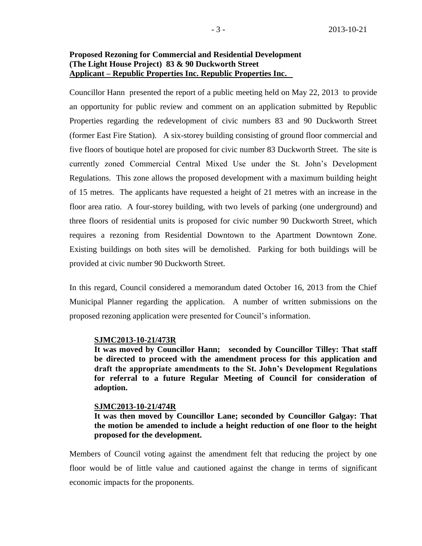## **Proposed Rezoning for Commercial and Residential Development (The Light House Project) 83 & 90 Duckworth Street Applicant – Republic Properties Inc. Republic Properties Inc.**

Councillor Hann presented the report of a public meeting held on May 22, 2013 to provide an opportunity for public review and comment on an application submitted by Republic Properties regarding the redevelopment of civic numbers 83 and 90 Duckworth Street (former East Fire Station). A six-storey building consisting of ground floor commercial and five floors of boutique hotel are proposed for civic number 83 Duckworth Street. The site is currently zoned Commercial Central Mixed Use under the St. John's Development Regulations. This zone allows the proposed development with a maximum building height of 15 metres. The applicants have requested a height of 21 metres with an increase in the floor area ratio. A four-storey building, with two levels of parking (one underground) and three floors of residential units is proposed for civic number 90 Duckworth Street, which requires a rezoning from Residential Downtown to the Apartment Downtown Zone. Existing buildings on both sites will be demolished. Parking for both buildings will be provided at civic number 90 Duckworth Street.

In this regard, Council considered a memorandum dated October 16, 2013 from the Chief Municipal Planner regarding the application. A number of written submissions on the proposed rezoning application were presented for Council's information.

### **SJMC2013-10-21/473R**

**It was moved by Councillor Hann; seconded by Councillor Tilley: That staff be directed to proceed with the amendment process for this application and draft the appropriate amendments to the St. John's Development Regulations for referral to a future Regular Meeting of Council for consideration of adoption.**

#### **SJMC2013-10-21/474R**

**It was then moved by Councillor Lane; seconded by Councillor Galgay: That the motion be amended to include a height reduction of one floor to the height proposed for the development.**

Members of Council voting against the amendment felt that reducing the project by one floor would be of little value and cautioned against the change in terms of significant economic impacts for the proponents.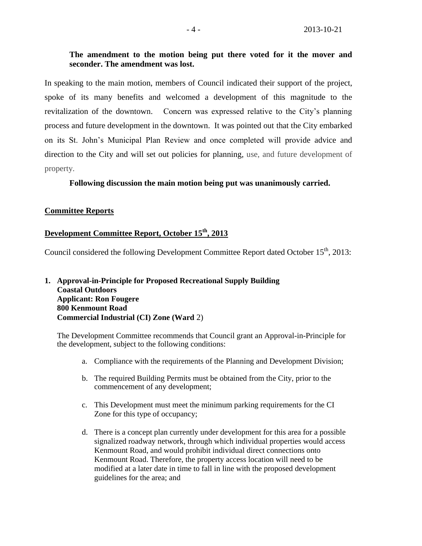## **The amendment to the motion being put there voted for it the mover and seconder. The amendment was lost.**

In speaking to the main motion, members of Council indicated their support of the project, spoke of its many benefits and welcomed a development of this magnitude to the revitalization of the downtown. Concern was expressed relative to the City's planning process and future development in the downtown. It was pointed out that the City embarked on its St. John's Municipal Plan Review and once completed will provide advice and direction to the City and will set out policies for planning, use, and future development of property.

## **Following discussion the main motion being put was unanimously carried.**

## **Committee Reports**

## **Development Committee Report, October 15th, 2013**

Council considered the following Development Committee Report dated October 15<sup>th</sup>, 2013:

## **1. Approval-in-Principle for Proposed Recreational Supply Building Coastal Outdoors Applicant: Ron Fougere 800 Kenmount Road Commercial Industrial (CI) Zone (Ward** 2)

The Development Committee recommends that Council grant an Approval-in-Principle for the development, subject to the following conditions:

- a. Compliance with the requirements of the Planning and Development Division;
- b. The required Building Permits must be obtained from the City, prior to the commencement of any development;
- c. This Development must meet the minimum parking requirements for the CI Zone for this type of occupancy;
- d. There is a concept plan currently under development for this area for a possible signalized roadway network, through which individual properties would access Kenmount Road, and would prohibit individual direct connections onto Kenmount Road. Therefore, the property access location will need to be modified at a later date in time to fall in line with the proposed development guidelines for the area; and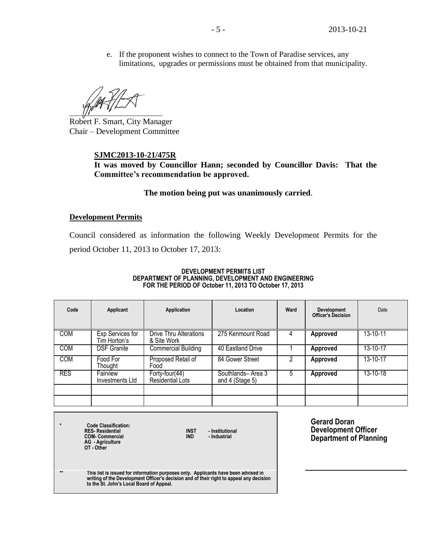e. If the proponent wishes to connect to the Town of Paradise services, any limitations, upgrades or permissions must be obtained from that municipality.

 $\frac{1}{2}$   $\frac{1}{2}$   $\frac{1}{2}$   $\frac{1}{2}$   $\frac{1}{2}$   $\frac{1}{2}$   $\frac{1}{2}$   $\frac{1}{2}$   $\frac{1}{2}$   $\frac{1}{2}$   $\frac{1}{2}$   $\frac{1}{2}$   $\frac{1}{2}$   $\frac{1}{2}$   $\frac{1}{2}$   $\frac{1}{2}$   $\frac{1}{2}$   $\frac{1}{2}$   $\frac{1}{2}$   $\frac{1}{2}$   $\frac{1}{2}$   $\frac{1}{2}$ 

Robert F. Smart, City Manager Chair – Development Committee

## **SJMC2013-10-21/475R**

**It was moved by Councillor Hann; seconded by Councillor Davis: That the Committee's recommendation be approved.**

## **The motion being put was unanimously carried**.

## **Development Permits**

Council considered as information the following Weekly Development Permits for the period October 11, 2013 to October 17, 2013:

#### **DEVELOPMENT PERMITS LIST DEPARTMENT OF PLANNING, DEVELOPMENT AND ENGINEERING FOR THE PERIOD OF October 11, 2013 TO October 17, 2013**

| Code       | Applicant                        | Application                                            | Location                             | Ward | Development<br><b>Officer's Decision</b> | Date     |
|------------|----------------------------------|--------------------------------------------------------|--------------------------------------|------|------------------------------------------|----------|
| COM        | Exp Services for<br>Tim Horton's | Drive Thru Alterations<br>& Site Work                  | 275 Kenmount Road                    |      | <b>Approved</b>                          | 13-10-11 |
| <b>COM</b> | <b>DSF Granite</b>               | <b>Commercial Building</b>                             | 40 Eastland Drive                    |      | Approved                                 | 13-10-17 |
| <b>COM</b> | Food For<br>Thought              | Proposed Retail of<br>Food                             | 84 Gower Street                      |      | Approved                                 | 13-10-17 |
| <b>RES</b> | Fairview<br>Investments Ltd      | $\overline{Forty}\text{-}four(44)$<br>Residential Lots | Southlands-Area 3<br>and 4 (Stage 5) | 5    | Approved                                 | 13-10-18 |
|            |                                  |                                                        |                                      |      |                                          |          |
|            |                                  |                                                        |                                      |      |                                          |          |

| $\star$ | <b>Code Classification:</b><br><b>RES-Residential</b><br><b>COM-Commercial</b><br><b>AG</b> - Agriculture<br>OT - Other                                                                                                   | <b>INST</b><br><b>IND</b> | - Institutional<br>- Industrial | <b>Gerard Doran</b><br><b>Development Officer</b><br><b>Department of Planning</b> |  |
|---------|---------------------------------------------------------------------------------------------------------------------------------------------------------------------------------------------------------------------------|---------------------------|---------------------------------|------------------------------------------------------------------------------------|--|
| $**$    | This list is issued for information purposes only. Applicants have been advised in<br>writing of the Development Officer's decision and of their right to appeal any decision<br>to the St. John's Local Board of Appeal. |                           |                                 |                                                                                    |  |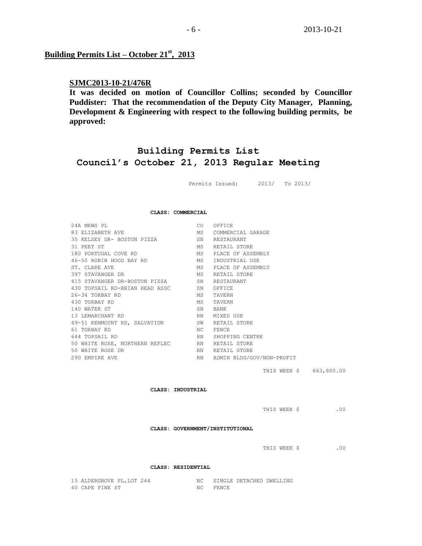## **Building Permits List – October 21st , 2013**

## **SJMC2013-10-21/476R**

**It was decided on motion of Councillor Collins; seconded by Councillor Puddister: That the recommendation of the Deputy City Manager, Planning, Development & Engineering with respect to the following building permits, be approved:**

## **Building Permits List Council's October 21, 2013 Regular Meeting**

Permits Issued: 2013/ To 2013/

#### **CLASS: COMMERCIAL**

| 24A MEWS PL                    | CO. | OFFICE                    |
|--------------------------------|-----|---------------------------|
| 83 ELIZABETH AVE               | MS  | COMMERCIAL GARAGE         |
| 35 KELSEY DR- BOSTON PIZZA     | SN  | RESTAURANT                |
| 31 PEET ST                     | МS  | RETAIL STORE              |
| 180 PORTUGAL COVE RD           | МS  | PLACE OF ASSEMBLY         |
| 46-50 ROBIN HOOD BAY RD        | МS  | INDUSTRIAL USE            |
| ST. CLARE AVE                  | MS  | PLACE OF ASSEMBLY         |
| 397 STAVANGER DR               | МS  | RETAIL STORE              |
| 415 STAVANGER DR-BOSTON PIZZA  | SN  | RESTAURANT                |
| 430 TOPSAIL RD-BRIAN HEAD ASSC | SN  | OFFICE                    |
| 26-34 TORBAY RD                | МS  | TAVERN                    |
| 430 TORBAY RD                  | МS  | TAVERN                    |
| 140 WATER ST                   | SN  | BANK                      |
| 13 LEMARCHANT RD               | RN  | MIXED USE                 |
| 49-51 KENMOUNT RD, SALVATION   | SW  | RETAIL STORE              |
| 61 TORBAY RD                   | NC. | FENCE                     |
| 644 TOPSAIL RD                 | RN. | SHOPPING CENTRE           |
| 50 WHITE ROSE, NORTHERN REFLEC | RN  | RETAIL STORE              |
| 50 WHITE ROSE DR               | RN  | RETAIL STORE              |
| 290 EMPTRE AVE                 | RN. | ADMIN BLDG/GOV/NON-PROFIT |
|                                |     |                           |

THIS WEEK \$ 663,800.00

**CLASS: INDUSTRIAL**

THIS WEEK \$ .00

**CLASS: GOVERNMENT/INSTITUTIONAL**

#### **CLASS: RESIDENTIAL**

| 15 ALDERGROVE PL, LOT 244 | NC SINGLE DETACHED DWELLING |
|---------------------------|-----------------------------|
| 40 CAPE PINE ST           | FENCE                       |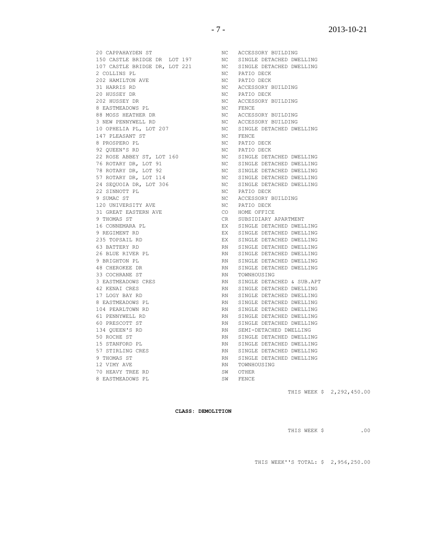**CLASS: DEMOLITION**

THIS WEEK \$ .00

31 HARRIS RD NC ACCESSORY BUILDING 20 HUSSEY DR NC PATIO DECK 202 HUSSEY DR NC ACCESSORY BUILDING 8 EASTMEADOWS PL 88 MOSS HEATHER DR NO NC ACCESSORY BUILDING 3 NEW PENNYWELL RD NC ACCESSORY BUILDING NC SINGLE DETACHED DWELLING 147 PLEASANT ST NC FENCE 8 PROSPERO PL $\,$ MC PATIO DECK 92 QUEEN'S RD NC PATIO DECK 22 ROSE ABBEY ST, LOT 160 NC SINGLE DETACHED DWELLING 76 ROTARY DR, LOT 91 NO NC SINGLE DETACHED DWELLING 78 ROTARY DR, LOT 92 NC SINGLE DETACHED DWELLING 57 ROTARY DR, LOT 114 NC SINGLE DETACHED DWELLING 24 SEQUOIA DR, LOT 306 NC SINGLE DETACHED DWELLING 22 SINNOTT PL NC PATIO DECK 9 SUMAC ST NC ACCESSORY BUILDING 120 UNIVERSITY AVE **NO** NC PATIO DECK 31 GREAT EASTERN AVE CO HOME OFFICE 9 THOMAS ST CR SUBSIDIARY APARTMENT 16 CONNEMARA PL **EX** SINGLE DETACHED DWELLING 9 REGIMENT RD **EXIMELE DETACHED DWELLING** 235 TOPSAIL RD EX SINGLE DETACHED DWELLING 63 BATTERY RD **RN** SINGLE DETACHED DWELLING 26 BLUE RIVER PL **RIVER PL** RN SINGLE DETACHED DWELLING 9 BRIGHTON PL **RN SINGLE DETACHED DWELLING** 48 CHEROKEE DR **RN SINGLE DETACHED DWELLING** 33 COCHRANE ST RN TOWNHOUSING 3 EASTMEADOWS CRES RN SINGLE DETACHED & SUB.APT 42 KENAI CRES RN SINGLE DETACHED DWELLING 17 LOGY BAY RD RN SINGLE DETACHED DWELLING 8 EASTMEADOWS PL RN SINGLE DETACHED DWELLING 104 PEARLTOWN RD RN SINGLE DETACHED DWELLING 61 PENNYWELL RD RN SINGLE DETACHED DWELLING 60 PRESCOTT ST RN SINGLE DETACHED DWELLING 134 QUEEN'S RD RN SEMI-DETACHED DWELLING 50 ROCHE ST RN SINGLE DETACHED DWELLING 15 STANFORD PL RN SINGLE DETACHED DWELLING 57 STIRLING CRES RN SINGLE DETACHED DWELLING 9 THOMAS ST RN SINGLE DETACHED DWELLING 12 VIMY AVE RN TOWNHOUSING 70 HEAVY TREE RD SW OTHER 8 EASTMEADOWS PL SW FENCE THIS WEEK \$ 2,292,450.00

20 CAPPAHAYDEN ST NC ACCESSORY BUILDING 150 CASTLE BRIDGE DR LOT 197 NC SINGLE DETACHED DWELLING 107 CASTLE BRIDGE DR, LOT 221 NC SINGLE DETACHED DWELLING

2 COLLINS PL NC PATIO DECK 202 HAMILTON AVE **NO** NC PATIO DECK

- 7 - 2013-10-21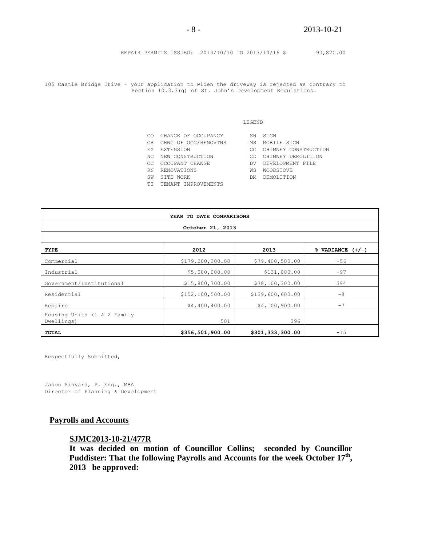REPAIR PERMITS ISSUED: 2013/10/10 TO 2013/10/16 \$ 90,820.00

105 Castle Bridge Drive – your application to widen the driveway is rejected as contrary to Section 10.3.3(g) of St. John's Development Regulations.

#### LEGEND

|     | CO CHANGE OF OCCUPANCY  | SN  | STGN                 |
|-----|-------------------------|-----|----------------------|
|     | CR CHNG OF OCC/RENOVTNS | MS  | MOBILE SIGN          |
|     | EX EXTENSION            | CC. | CHIMNEY CONSTRUCTION |
|     | NC NEW CONSTRUCTION     | CD. | CHIMNEY DEMOLITION   |
| OC. | OCCUPANT CHANGE         | DV. | DEVELOPMENT FILE     |
|     | RN RENOVATIONS          | WS  | <b>WOODSTOVE</b>     |
| SW  | SITE WORK               | DM. | DEMOLITION           |
|     | TI TENANT IMPROVEMENTS  |     |                      |

| YEAR TO DATE COMPARISONS                     |                  |                  |       |  |  |
|----------------------------------------------|------------------|------------------|-------|--|--|
| October 21, 2013                             |                  |                  |       |  |  |
| 2012<br>2013<br>$%$ VARIANCE $(+/-)$<br>TYPE |                  |                  |       |  |  |
| Commercial                                   | \$179,200,300.00 | \$79,400,500.00  | $-56$ |  |  |
| Industrial                                   | \$5,000,000.00   | \$131,000.00     | $-97$ |  |  |
| Government/Institutional                     | \$15,800,700.00  | \$78,100,300.00  | 394   |  |  |
| Residential                                  | \$152,100,500.00 | \$139,600,600.00 | $-8$  |  |  |
| Repairs                                      | \$4,400,400.00   | \$4,100,900.00   | $-7$  |  |  |
| Housing Units (1 & 2 Family<br>Dwellings)    | 501              | 396              |       |  |  |
| TOTAL                                        | \$356,501,900.00 | \$301,333,300.00 | $-15$ |  |  |

Respectfully Submitted,

Jason Sinyard, P. Eng., MBA Director of Planning & Development

## **Payrolls and Accounts**

## **SJMC2013-10-21/477R**

**It was decided on motion of Councillor Collins; seconded by Councillor Puddister: That the following Payrolls and Accounts for the week October 17th , 2013 be approved:**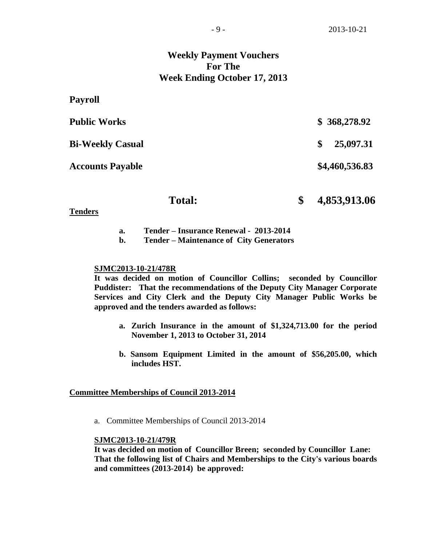## **Weekly Payment Vouchers For The Week Ending October 17, 2013**

| Payroll                 |                    |
|-------------------------|--------------------|
| <b>Public Works</b>     | \$368,278.92       |
| <b>Bi-Weekly Casual</b> | 25,097.31<br>\$    |
| <b>Accounts Payable</b> | \$4,460,536.83     |
| <b>Total:</b>           | 4,853,913.06<br>\$ |

**Tenders**

- **a. Tender – Insurance Renewal 2013-2014**
- **b. Tender – Maintenance of City Generators**

### **SJMC2013-10-21/478R**

**It was decided on motion of Councillor Collins; seconded by Councillor Puddister: That the recommendations of the Deputy City Manager Corporate Services and City Clerk and the Deputy City Manager Public Works be approved and the tenders awarded as follows:**

- **a. Zurich Insurance in the amount of \$1,324,713.00 for the period November 1, 2013 to October 31, 2014**
- **b. Sansom Equipment Limited in the amount of \$56,205.00, which includes HST.**

### **Committee Memberships of Council 2013-2014**

a. Committee Memberships of Council 2013-2014

## **SJMC2013-10-21/479R**

**It was decided on motion of Councillor Breen; seconded by Councillor Lane: That the following list of Chairs and Memberships to the City's various boards and committees (2013-2014) be approved:**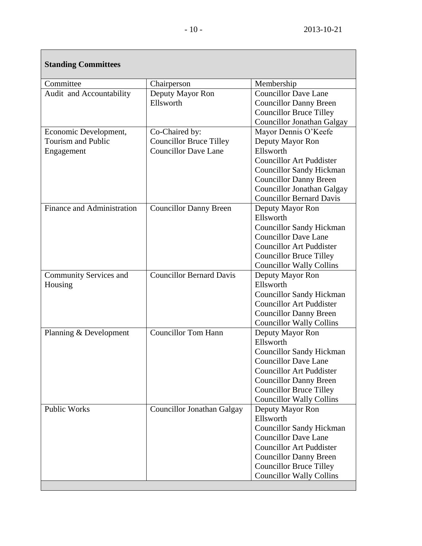| <b>Standing Committees</b>        |                                 |                                 |
|-----------------------------------|---------------------------------|---------------------------------|
| Committee                         | Chairperson                     | Membership                      |
| Audit and Accountability          | Deputy Mayor Ron                | Councillor Dave Lane            |
|                                   | Ellsworth                       | <b>Councillor Danny Breen</b>   |
|                                   |                                 | <b>Councillor Bruce Tilley</b>  |
|                                   |                                 | Councillor Jonathan Galgay      |
| Economic Development,             | Co-Chaired by:                  | Mayor Dennis O'Keefe            |
| <b>Tourism and Public</b>         | <b>Councillor Bruce Tilley</b>  | Deputy Mayor Ron                |
| Engagement                        | <b>Councillor Dave Lane</b>     | Ellsworth                       |
|                                   |                                 | <b>Councillor Art Puddister</b> |
|                                   |                                 | <b>Councillor Sandy Hickman</b> |
|                                   |                                 | <b>Councillor Danny Breen</b>   |
|                                   |                                 | Councillor Jonathan Galgay      |
|                                   |                                 | <b>Councillor Bernard Davis</b> |
| <b>Finance and Administration</b> | <b>Councillor Danny Breen</b>   | Deputy Mayor Ron                |
|                                   |                                 | Ellsworth                       |
|                                   |                                 | <b>Councillor Sandy Hickman</b> |
|                                   |                                 | <b>Councillor Dave Lane</b>     |
|                                   |                                 | <b>Councillor Art Puddister</b> |
|                                   |                                 | <b>Councillor Bruce Tilley</b>  |
|                                   |                                 | <b>Councillor Wally Collins</b> |
| <b>Community Services and</b>     | <b>Councillor Bernard Davis</b> | Deputy Mayor Ron                |
| Housing                           |                                 | Ellsworth                       |
|                                   |                                 | <b>Councillor Sandy Hickman</b> |
|                                   |                                 | <b>Councillor Art Puddister</b> |
|                                   |                                 | <b>Councillor Danny Breen</b>   |
|                                   |                                 | <b>Councillor Wally Collins</b> |
| Planning & Development            | <b>Councillor Tom Hann</b>      | Deputy Mayor Ron                |
|                                   |                                 | Ellsworth                       |
|                                   |                                 | <b>Councillor Sandy Hickman</b> |
|                                   |                                 | <b>Councillor Dave Lane</b>     |
|                                   |                                 | <b>Councillor Art Puddister</b> |
|                                   |                                 | <b>Councillor Danny Breen</b>   |
|                                   |                                 | <b>Councillor Bruce Tilley</b>  |
|                                   |                                 | <b>Councillor Wally Collins</b> |
| <b>Public Works</b>               | Councillor Jonathan Galgay      | Deputy Mayor Ron                |
|                                   |                                 | Ellsworth                       |
|                                   |                                 | <b>Councillor Sandy Hickman</b> |
|                                   |                                 | <b>Councillor Dave Lane</b>     |
|                                   |                                 | <b>Councillor Art Puddister</b> |
|                                   |                                 | <b>Councillor Danny Breen</b>   |
|                                   |                                 | <b>Councillor Bruce Tilley</b>  |
|                                   |                                 | <b>Councillor Wally Collins</b> |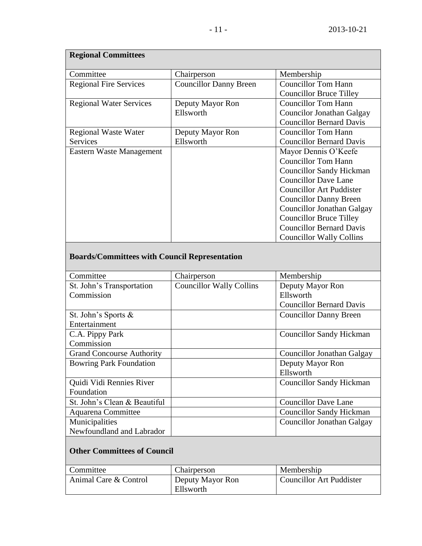| <b>Regional Committees</b>     |                               |                                 |  |  |
|--------------------------------|-------------------------------|---------------------------------|--|--|
| Committee                      | Chairperson                   | Membership                      |  |  |
| <b>Regional Fire Services</b>  | <b>Councillor Danny Breen</b> | <b>Councillor Tom Hann</b>      |  |  |
|                                |                               | <b>Councillor Bruce Tilley</b>  |  |  |
| <b>Regional Water Services</b> | Deputy Mayor Ron              | <b>Councillor Tom Hann</b>      |  |  |
|                                | Ellsworth                     | Councilor Jonathan Galgay       |  |  |
|                                |                               | <b>Councillor Bernard Davis</b> |  |  |
| <b>Regional Waste Water</b>    | Deputy Mayor Ron              | <b>Councillor Tom Hann</b>      |  |  |
| <b>Services</b>                | Ellsworth                     | <b>Councillor Bernard Davis</b> |  |  |
| Eastern Waste Management       |                               | Mayor Dennis O'Keefe            |  |  |
|                                |                               | <b>Councillor Tom Hann</b>      |  |  |
|                                |                               | <b>Councillor Sandy Hickman</b> |  |  |
|                                |                               | <b>Councillor Dave Lane</b>     |  |  |
|                                |                               | <b>Councillor Art Puddister</b> |  |  |
|                                |                               | <b>Councillor Danny Breen</b>   |  |  |
|                                |                               | Councillor Jonathan Galgay      |  |  |
|                                |                               | <b>Councillor Bruce Tilley</b>  |  |  |
|                                |                               | <b>Councillor Bernard Davis</b> |  |  |
|                                |                               | <b>Councillor Wally Collins</b> |  |  |

# **Boards/Committees with Council Representation**

| Committee                        | Chairperson                     | Membership                        |
|----------------------------------|---------------------------------|-----------------------------------|
| St. John's Transportation        | <b>Councillor Wally Collins</b> | Deputy Mayor Ron                  |
| Commission                       |                                 | Ellsworth                         |
|                                  |                                 | <b>Councillor Bernard Davis</b>   |
| St. John's Sports &              |                                 | <b>Councillor Danny Breen</b>     |
| Entertainment                    |                                 |                                   |
| C.A. Pippy Park                  |                                 | <b>Councillor Sandy Hickman</b>   |
| Commission                       |                                 |                                   |
| <b>Grand Concourse Authority</b> |                                 | <b>Councillor Jonathan Galgay</b> |
| <b>Bowring Park Foundation</b>   |                                 | Deputy Mayor Ron                  |
|                                  |                                 | Ellsworth                         |
| Quidi Vidi Rennies River         |                                 | <b>Councillor Sandy Hickman</b>   |
| Foundation                       |                                 |                                   |
| St. John's Clean & Beautiful     |                                 | <b>Councillor Dave Lane</b>       |
| Aquarena Committee               |                                 | <b>Councillor Sandy Hickman</b>   |
| Municipalities                   |                                 | <b>Councillor Jonathan Galgay</b> |
| Newfoundland and Labrador        |                                 |                                   |
|                                  |                                 |                                   |

# **Other Committees of Council**

| Committee             | Chairperson                   | Membership                      |
|-----------------------|-------------------------------|---------------------------------|
| Animal Care & Control | Deputy Mayor Ron<br>Ellsworth | <b>Councillor Art Puddister</b> |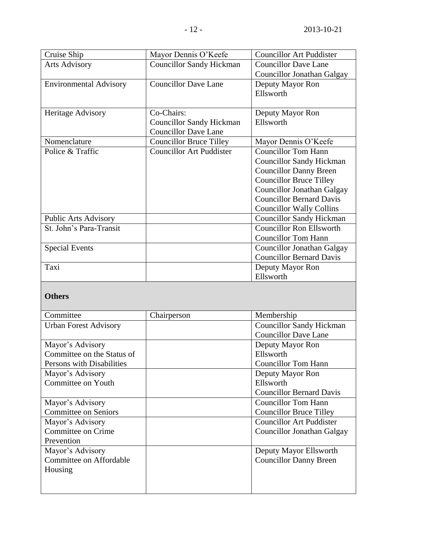| Cruise Ship                   | Mayor Dennis O'Keefe            | <b>Councillor Art Puddister</b>   |
|-------------------------------|---------------------------------|-----------------------------------|
| <b>Arts Advisory</b>          | <b>Councillor Sandy Hickman</b> | <b>Councillor Dave Lane</b>       |
|                               |                                 | <b>Councillor Jonathan Galgay</b> |
| <b>Environmental Advisory</b> | <b>Councillor Dave Lane</b>     | Deputy Mayor Ron                  |
|                               |                                 | Ellsworth                         |
|                               |                                 |                                   |
| Heritage Advisory             | Co-Chairs:                      | Deputy Mayor Ron                  |
|                               | <b>Councillor Sandy Hickman</b> | Ellsworth                         |
|                               | <b>Councillor Dave Lane</b>     |                                   |
| Nomenclature                  | <b>Councillor Bruce Tilley</b>  | Mayor Dennis O'Keefe              |
| Police & Traffic              | <b>Councillor Art Puddister</b> | <b>Councillor Tom Hann</b>        |
|                               |                                 | <b>Councillor Sandy Hickman</b>   |
|                               |                                 | <b>Councillor Danny Breen</b>     |
|                               |                                 | <b>Councillor Bruce Tilley</b>    |
|                               |                                 | <b>Councillor Jonathan Galgay</b> |
|                               |                                 | <b>Councillor Bernard Davis</b>   |
|                               |                                 | <b>Councillor Wally Collins</b>   |
| <b>Public Arts Advisory</b>   |                                 | <b>Councillor Sandy Hickman</b>   |
| St. John's Para-Transit       |                                 | <b>Councillor Ron Ellsworth</b>   |
|                               |                                 | <b>Councillor Tom Hann</b>        |
| <b>Special Events</b>         |                                 | <b>Councillor Jonathan Galgay</b> |
|                               |                                 | <b>Councillor Bernard Davis</b>   |
| Taxi                          |                                 | Deputy Mayor Ron                  |
|                               |                                 | Ellsworth                         |
|                               |                                 |                                   |

## **Others**

| Committee                    | Chairperson | Membership                      |
|------------------------------|-------------|---------------------------------|
| <b>Urban Forest Advisory</b> |             | <b>Councillor Sandy Hickman</b> |
|                              |             | <b>Councillor Dave Lane</b>     |
| Mayor's Advisory             |             | Deputy Mayor Ron                |
| Committee on the Status of   |             | Ellsworth                       |
| Persons with Disabilities    |             | <b>Councillor Tom Hann</b>      |
| Mayor's Advisory             |             | Deputy Mayor Ron                |
| Committee on Youth           |             | Ellsworth                       |
|                              |             | <b>Councillor Bernard Davis</b> |
| Mayor's Advisory             |             | <b>Councillor Tom Hann</b>      |
| <b>Committee on Seniors</b>  |             | <b>Councillor Bruce Tilley</b>  |
| Mayor's Advisory             |             | <b>Councillor Art Puddister</b> |
| Committee on Crime           |             | Councillor Jonathan Galgay      |
| Prevention                   |             |                                 |
| Mayor's Advisory             |             | Deputy Mayor Ellsworth          |
| Committee on Affordable      |             | <b>Councillor Danny Breen</b>   |
| Housing                      |             |                                 |
|                              |             |                                 |
|                              |             |                                 |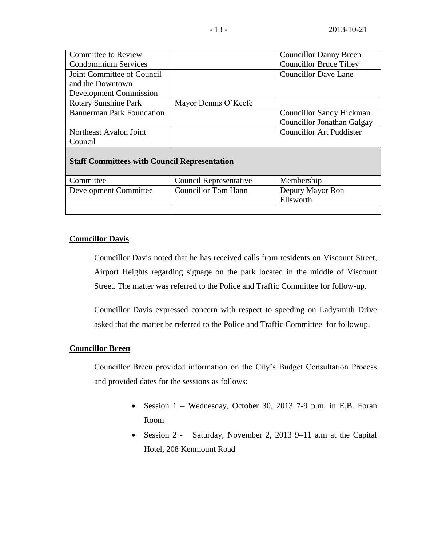| <b>Committee to Review</b>       |                      | <b>Councillor Danny Breen</b>   |
|----------------------------------|----------------------|---------------------------------|
| <b>Condominium Services</b>      |                      | <b>Councillor Bruce Tilley</b>  |
| Joint Committee of Council       |                      | <b>Councillor Dave Lane</b>     |
| and the Downtown                 |                      |                                 |
| <b>Development Commission</b>    |                      |                                 |
| <b>Rotary Sunshine Park</b>      | Mayor Dennis O'Keefe |                                 |
| <b>Bannerman Park Foundation</b> |                      | <b>Councillor Sandy Hickman</b> |
|                                  |                      | Councillor Jonathan Galgay      |
| Northeast Avalon Joint           |                      | <b>Councillor Art Puddister</b> |
| Council                          |                      |                                 |

## **Staff Committees with Council Representation**

| Committee                    | <b>Council Representative</b> | Membership                    |
|------------------------------|-------------------------------|-------------------------------|
| <b>Development Committee</b> | <b>Councillor Tom Hann</b>    | Deputy Mayor Ron<br>Ellsworth |
|                              |                               |                               |

## **Councillor Davis**

Councillor Davis noted that he has received calls from residents on Viscount Street, Airport Heights regarding signage on the park located in the middle of Viscount Street. The matter was referred to the Police and Traffic Committee for follow-up.

Councillor Davis expressed concern with respect to speeding on Ladysmith Drive asked that the matter be referred to the Police and Traffic Committee for followup.

## **Councillor Breen**

Councillor Breen provided information on the City's Budget Consultation Process and provided dates for the sessions as follows:

- Session 1 Wednesday, October 30, 2013 7-9 p.m. in E.B. Foran Room
- Session 2 Saturday, November 2, 2013 9–11 a.m at the Capital Hotel, 208 Kenmount Road